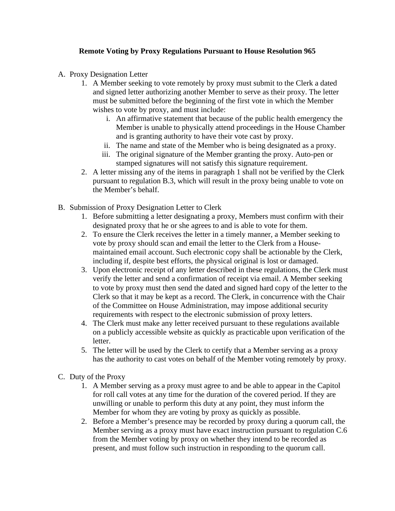## **Remote Voting by Proxy Regulations Pursuant to House Resolution 965**

- A. Proxy Designation Letter
	- 1. A Member seeking to vote remotely by proxy must submit to the Clerk a dated and signed letter authorizing another Member to serve as their proxy. The letter must be submitted before the beginning of the first vote in which the Member wishes to vote by proxy, and must include:
		- i. An affirmative statement that because of the public health emergency the Member is unable to physically attend proceedings in the House Chamber and is granting authority to have their vote cast by proxy.
		- ii. The name and state of the Member who is being designated as a proxy.
		- iii. The original signature of the Member granting the proxy. Auto-pen or stamped signatures will not satisfy this signature requirement.
	- 2. A letter missing any of the items in paragraph 1 shall not be verified by the Clerk pursuant to regulation B.3, which will result in the proxy being unable to vote on the Member's behalf.
- B. Submission of Proxy Designation Letter to Clerk
	- 1. Before submitting a letter designating a proxy, Members must confirm with their designated proxy that he or she agrees to and is able to vote for them.
	- 2. To ensure the Clerk receives the letter in a timely manner, a Member seeking to vote by proxy should scan and email the letter to the Clerk from a Housemaintained email account. Such electronic copy shall be actionable by the Clerk, including if, despite best efforts, the physical original is lost or damaged.
	- 3. Upon electronic receipt of any letter described in these regulations, the Clerk must verify the letter and send a confirmation of receipt via email. A Member seeking to vote by proxy must then send the dated and signed hard copy of the letter to the Clerk so that it may be kept as a record. The Clerk, in concurrence with the Chair of the Committee on House Administration, may impose additional security requirements with respect to the electronic submission of proxy letters.
	- 4. The Clerk must make any letter received pursuant to these regulations available on a publicly accessible website as quickly as practicable upon verification of the letter.
	- 5. The letter will be used by the Clerk to certify that a Member serving as a proxy has the authority to cast votes on behalf of the Member voting remotely by proxy.
- C. Duty of the Proxy
	- 1. A Member serving as a proxy must agree to and be able to appear in the Capitol for roll call votes at any time for the duration of the covered period. If they are unwilling or unable to perform this duty at any point, they must inform the Member for whom they are voting by proxy as quickly as possible.
	- 2. Before a Member's presence may be recorded by proxy during a quorum call, the Member serving as a proxy must have exact instruction pursuant to regulation C.6 from the Member voting by proxy on whether they intend to be recorded as present, and must follow such instruction in responding to the quorum call.